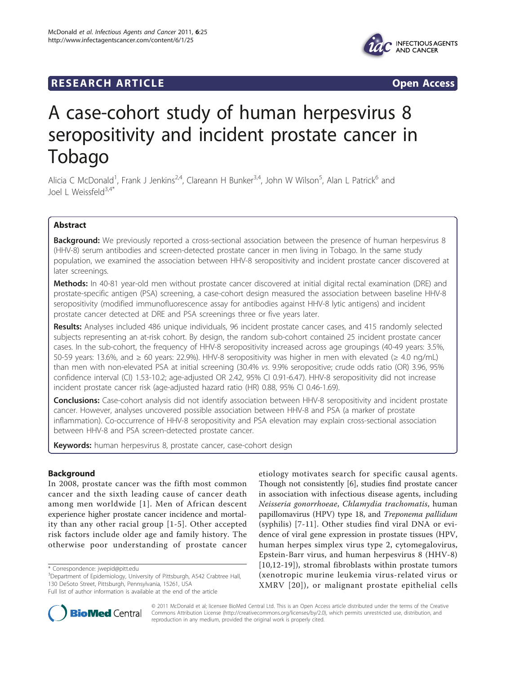# **RESEARCH ARTICLE Example 2018 Open Access**



# A case-cohort study of human herpesvirus 8 seropositivity and incident prostate cancer in Tobago

Alicia C McDonald<sup>1</sup>, Frank J Jenkins<sup>2,4</sup>, Clareann H Bunker<sup>3,4</sup>, John W Wilson<sup>5</sup>, Alan L Patrick<sup>6</sup> and Joel L Weissfeld<sup>3,4\*</sup>

# Abstract

**Background:** We previously reported a cross-sectional association between the presence of human herpesvirus 8 (HHV-8) serum antibodies and screen-detected prostate cancer in men living in Tobago. In the same study population, we examined the association between HHV-8 seropositivity and incident prostate cancer discovered at later screenings.

Methods: In 40-81 year-old men without prostate cancer discovered at initial digital rectal examination (DRE) and prostate-specific antigen (PSA) screening, a case-cohort design measured the association between baseline HHV-8 seropositivity (modified immunofluorescence assay for antibodies against HHV-8 lytic antigens) and incident prostate cancer detected at DRE and PSA screenings three or five years later.

Results: Analyses included 486 unique individuals, 96 incident prostate cancer cases, and 415 randomly selected subjects representing an at-risk cohort. By design, the random sub-cohort contained 25 incident prostate cancer cases. In the sub-cohort, the frequency of HHV-8 seropositivity increased across age groupings (40-49 years: 3.5%, 50-59 years: 13.6%, and ≥ 60 years: 22.9%). HHV-8 seropositivity was higher in men with elevated (≥ 4.0 ng/mL) than men with non-elevated PSA at initial screening (30.4% vs. 9.9% seropositive; crude odds ratio (OR) 3.96, 95% confidence interval (CI) 1.53-10.2; age-adjusted OR 2.42, 95% CI 0.91-6.47). HHV-8 seropositivity did not increase incident prostate cancer risk (age-adjusted hazard ratio (HR) 0.88, 95% CI 0.46-1.69).

Conclusions: Case-cohort analysis did not identify association between HHV-8 seropositivity and incident prostate cancer. However, analyses uncovered possible association between HHV-8 and PSA (a marker of prostate inflammation). Co-occurrence of HHV-8 seropositivity and PSA elevation may explain cross-sectional association between HHV-8 and PSA screen-detected prostate cancer.

Keywords: human herpesvirus 8, prostate cancer, case-cohort design

# Background

In 2008, prostate cancer was the fifth most common cancer and the sixth leading cause of cancer death among men worldwide [[1](#page-7-0)]. Men of African descent experience higher prostate cancer incidence and mortality than any other racial group [[1](#page-7-0)-[5](#page-7-0)]. Other accepted risk factors include older age and family history. The otherwise poor understanding of prostate cancer

etiology motivates search for specific causal agents. Though not consistently [[6\]](#page-8-0), studies find prostate cancer in association with infectious disease agents, including Neisseria gonorrhoeae, Chlamydia trachomatis, human papillomavirus (HPV) type 18, and Treponema pallidum (syphilis) [[7-11\]](#page-8-0). Other studies find viral DNA or evidence of viral gene expression in prostate tissues (HPV, human herpes simplex virus type 2, cytomegalovirus, Epstein-Barr virus, and human herpesvirus 8 (HHV-8) [[10](#page-8-0),[12-19\]](#page-8-0)), stromal fibroblasts within prostate tumors (xenotropic murine leukemia virus-related virus or XMRV [[20\]](#page-8-0)), or malignant prostate epithelial cells



© 2011 McDonald et al; licensee BioMed Central Ltd. This is an Open Access article distributed under the terms of the Creative Commons Attribution License [\(http://creativecommons.org/licenses/by/2.0](http://creativecommons.org/licenses/by/2.0)), which permits unrestricted use, distribution, and reproduction in any medium, provided the original work is properly cited.

<sup>\*</sup> Correspondence: [jwepid@pitt.edu](mailto:jwepid@pitt.edu)

<sup>&</sup>lt;sup>3</sup>Department of Epidemiology, University of Pittsburgh, A542 Crabtree Hall, 130 DeSoto Street, Pittsburgh, Pennsylvania, 15261, USA

Full list of author information is available at the end of the article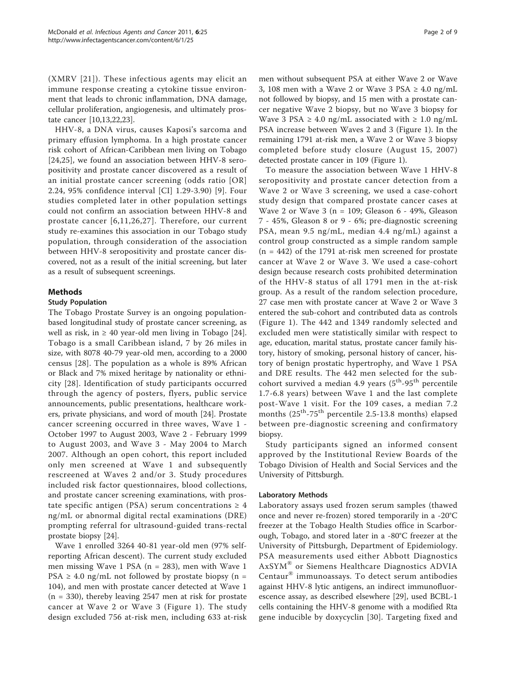(XMRV [[21\]](#page-8-0)). These infectious agents may elicit an immune response creating a cytokine tissue environment that leads to chronic inflammation, DNA damage, cellular proliferation, angiogenesis, and ultimately prostate cancer [[10,13,22,23](#page-8-0)].

HHV-8, a DNA virus, causes Kaposi's sarcoma and primary effusion lymphoma. In a high prostate cancer risk cohort of African-Caribbean men living on Tobago [[24,25](#page-8-0)], we found an association between HHV-8 seropositivity and prostate cancer discovered as a result of an initial prostate cancer screening (odds ratio [OR] 2.24, 95% confidence interval [CI] 1.29-3.90) [\[9\]](#page-8-0). Four studies completed later in other population settings could not confirm an association between HHV-8 and prostate cancer [[6,11,26](#page-8-0),[27](#page-8-0)]. Therefore, our current study re-examines this association in our Tobago study population, through consideration of the association between HHV-8 seropositivity and prostate cancer discovered, not as a result of the initial screening, but later as a result of subsequent screenings.

# Methods

#### Study Population

The Tobago Prostate Survey is an ongoing populationbased longitudinal study of prostate cancer screening, as well as risk, in  $\geq 40$  year-old men living in Tobago [\[24](#page-8-0)]. Tobago is a small Caribbean island, 7 by 26 miles in size, with 8078 40-79 year-old men, according to a 2000 census [[28\]](#page-8-0). The population as a whole is 89% African or Black and 7% mixed heritage by nationality or ethnicity [[28](#page-8-0)]. Identification of study participants occurred through the agency of posters, flyers, public service announcements, public presentations, healthcare workers, private physicians, and word of mouth [\[24\]](#page-8-0). Prostate cancer screening occurred in three waves, Wave 1 - October 1997 to August 2003, Wave 2 - February 1999 to August 2003, and Wave 3 - May 2004 to March 2007. Although an open cohort, this report included only men screened at Wave 1 and subsequently rescreened at Waves 2 and/or 3. Study procedures included risk factor questionnaires, blood collections, and prostate cancer screening examinations, with prostate specific antigen (PSA) serum concentrations  $\geq 4$ ng/mL or abnormal digital rectal examinations (DRE) prompting referral for ultrasound-guided trans-rectal prostate biopsy [\[24\]](#page-8-0).

Wave 1 enrolled 3264 40-81 year-old men (97% selfreporting African descent). The current study excluded men missing Wave 1 PSA ( $n = 283$ ), men with Wave 1 PSA  $\geq$  4.0 ng/mL not followed by prostate biopsy (n = 104), and men with prostate cancer detected at Wave 1 (n = 330), thereby leaving 2547 men at risk for prostate cancer at Wave 2 or Wave 3 (Figure [1\)](#page-2-0). The study design excluded 756 at-risk men, including 633 at-risk men without subsequent PSA at either Wave 2 or Wave 3, 108 men with a Wave 2 or Wave 3 PSA  $\geq 4.0$  ng/mL not followed by biopsy, and 15 men with a prostate cancer negative Wave 2 biopsy, but no Wave 3 biopsy for Wave 3 PSA  $\geq$  4.0 ng/mL associated with  $\geq$  1.0 ng/mL PSA increase between Waves 2 and 3 (Figure [1](#page-2-0)). In the remaining 1791 at-risk men, a Wave 2 or Wave 3 biopsy completed before study closure (August 15, 2007) detected prostate cancer in 109 (Figure [1\)](#page-2-0).

To measure the association between Wave 1 HHV-8 seropositivity and prostate cancer detection from a Wave 2 or Wave 3 screening, we used a case-cohort study design that compared prostate cancer cases at Wave 2 or Wave 3 ( $n = 109$ ; Gleason 6 - 49%, Gleason 7 - 45%, Gleason 8 or 9 - 6%; pre-diagnostic screening PSA, mean 9.5 ng/mL, median 4.4 ng/mL) against a control group constructed as a simple random sample  $(n = 442)$  of the 1791 at-risk men screened for prostate cancer at Wave 2 or Wave 3. We used a case-cohort design because research costs prohibited determination of the HHV-8 status of all 1791 men in the at-risk group. As a result of the random selection procedure, 27 case men with prostate cancer at Wave 2 or Wave 3 entered the sub-cohort and contributed data as controls (Figure [1\)](#page-2-0). The 442 and 1349 randomly selected and excluded men were statistically similar with respect to age, education, marital status, prostate cancer family history, history of smoking, personal history of cancer, history of benign prostatic hypertrophy, and Wave 1 PSA and DRE results. The 442 men selected for the subcohort survived a median 4.9 years  $(5^{th}$ -95<sup>th</sup> percentile 1.7-6.8 years) between Wave 1 and the last complete post-Wave 1 visit. For the 109 cases, a median 7.2 months  $(25^{th} - 75^{th})$  percentile 2.5-13.8 months) elapsed between pre-diagnostic screening and confirmatory biopsy.

Study participants signed an informed consent approved by the Institutional Review Boards of the Tobago Division of Health and Social Services and the University of Pittsburgh.

#### Laboratory Methods

Laboratory assays used frozen serum samples (thawed once and never re-frozen) stored temporarily in a -20°C freezer at the Tobago Health Studies office in Scarborough, Tobago, and stored later in a -80°C freezer at the University of Pittsburgh, Department of Epidemiology. PSA measurements used either Abbott Diagnostics AxSYM® or Siemens Healthcare Diagnostics ADVIA Centaur® immunoassays. To detect serum antibodies against HHV-8 lytic antigens, an indirect immunofluorescence assay, as described elsewhere [[29\]](#page-8-0), used BCBL-1 cells containing the HHV-8 genome with a modified Rta gene inducible by doxycyclin [\[30](#page-8-0)]. Targeting fixed and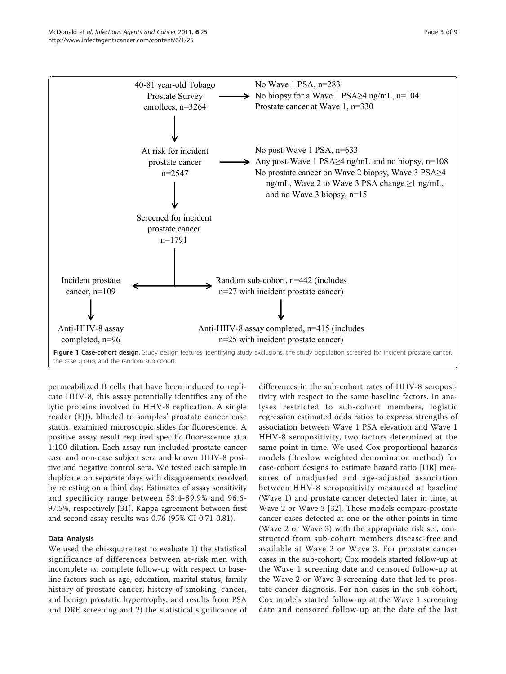<span id="page-2-0"></span>

permeabilized B cells that have been induced to replicate HHV-8, this assay potentially identifies any of the lytic proteins involved in HHV-8 replication. A single reader (FJJ), blinded to samples' prostate cancer case status, examined microscopic slides for fluorescence. A positive assay result required specific fluorescence at a 1:100 dilution. Each assay run included prostate cancer case and non-case subject sera and known HHV-8 positive and negative control sera. We tested each sample in duplicate on separate days with disagreements resolved by retesting on a third day. Estimates of assay sensitivity and specificity range between 53.4-89.9% and 96.6- 97.5%, respectively [\[31](#page-8-0)]. Kappa agreement between first and second assay results was 0.76 (95% CI 0.71-0.81).

## Data Analysis

We used the chi-square test to evaluate 1) the statistical significance of differences between at-risk men with incomplete vs. complete follow-up with respect to baseline factors such as age, education, marital status, family history of prostate cancer, history of smoking, cancer, and benign prostatic hypertrophy, and results from PSA and DRE screening and 2) the statistical significance of

differences in the sub-cohort rates of HHV-8 seropositivity with respect to the same baseline factors. In analyses restricted to sub-cohort members, logistic regression estimated odds ratios to express strengths of association between Wave 1 PSA elevation and Wave 1 HHV-8 seropositivity, two factors determined at the same point in time. We used Cox proportional hazards models (Breslow weighted denominator method) for case-cohort designs to estimate hazard ratio [HR] measures of unadjusted and age-adjusted association between HHV-8 seropositivity measured at baseline (Wave 1) and prostate cancer detected later in time, at Wave 2 or Wave 3 [[32\]](#page-8-0). These models compare prostate cancer cases detected at one or the other points in time (Wave 2 or Wave 3) with the appropriate risk set, constructed from sub-cohort members disease-free and available at Wave 2 or Wave 3. For prostate cancer cases in the sub-cohort, Cox models started follow-up at the Wave 1 screening date and censored follow-up at the Wave 2 or Wave 3 screening date that led to prostate cancer diagnosis. For non-cases in the sub-cohort, Cox models started follow-up at the Wave 1 screening date and censored follow-up at the date of the last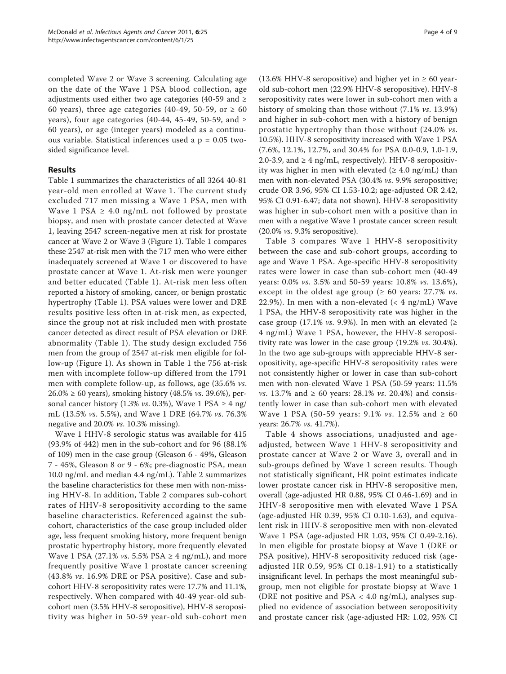completed Wave 2 or Wave 3 screening. Calculating age on the date of the Wave 1 PSA blood collection, age adjustments used either two age categories (40-59 and ≥ 60 years), three age categories (40-49, 50-59, or  $\geq 60$ years), four age categories (40-44, 45-49, 50-59, and  $\ge$ 60 years), or age (integer years) modeled as a continuous variable. Statistical inferences used a p = 0.05 twosided significance level.

# Results

Table [1](#page-4-0) summarizes the characteristics of all 3264 40-81 year-old men enrolled at Wave 1. The current study excluded 717 men missing a Wave 1 PSA, men with Wave 1 PSA  $\geq$  4.0 ng/mL not followed by prostate biopsy, and men with prostate cancer detected at Wave 1, leaving 2547 screen-negative men at risk for prostate cancer at Wave 2 or Wave 3 (Figure [1\)](#page-2-0). Table [1](#page-4-0) compares these 2547 at-risk men with the 717 men who were either inadequately screened at Wave 1 or discovered to have prostate cancer at Wave 1. At-risk men were younger and better educated (Table [1\)](#page-4-0). At-risk men less often reported a history of smoking, cancer, or benign prostatic hypertrophy (Table [1](#page-4-0)). PSA values were lower and DRE results positive less often in at-risk men, as expected, since the group not at risk included men with prostate cancer detected as direct result of PSA elevation or DRE abnormality (Table [1\)](#page-4-0). The study design excluded 756 men from the group of 2547 at-risk men eligible for follow-up (Figure [1](#page-2-0)). As shown in Table [1](#page-4-0) the 756 at-risk men with incomplete follow-up differed from the 1791 men with complete follow-up, as follows, age (35.6% vs. 26.0% ≥ 60 years), smoking history (48.5% *vs.* 39.6%), personal cancer history (1.3% *vs.* 0.3%), Wave 1 PSA  $\geq$  4 ng/ mL (13.5% vs. 5.5%), and Wave 1 DRE (64.7% vs. 76.3% negative and 20.0% vs. 10.3% missing).

Wave 1 HHV-8 serologic status was available for 415 (93.9% of 442) men in the sub-cohort and for 96 (88.1% of 109) men in the case group (Gleason 6 - 49%, Gleason 7 - 45%, Gleason 8 or 9 - 6%; pre-diagnostic PSA, mean 10.0 ng/mL and median 4.4 ng/mL). Table [2](#page-5-0) summarizes the baseline characteristics for these men with non-missing HHV-8. In addition, Table [2](#page-5-0) compares sub-cohort rates of HHV-8 seropositivity according to the same baseline characteristics. Referenced against the subcohort, characteristics of the case group included older age, less frequent smoking history, more frequent benign prostatic hypertrophy history, more frequently elevated Wave 1 PSA (27.1% *vs.* 5.5% PSA  $\geq$  4 ng/mL), and more frequently positive Wave 1 prostate cancer screening (43.8% vs. 16.9% DRE or PSA positive). Case and subcohort HHV-8 seropositivity rates were 17.7% and 11.1%, respectively. When compared with 40-49 year-old subcohort men (3.5% HHV-8 seropositive), HHV-8 seropositivity was higher in 50-59 year-old sub-cohort men (13.6% HHV-8 seropositive) and higher yet in  $\geq 60$  yearold sub-cohort men (22.9% HHV-8 seropositive). HHV-8 seropositivity rates were lower in sub-cohort men with a history of smoking than those without (7.1% vs. 13.9%) and higher in sub-cohort men with a history of benign prostatic hypertrophy than those without (24.0% vs. 10.5%). HHV-8 seropositivity increased with Wave 1 PSA (7.6%, 12.1%, 12.7%, and 30.4% for PSA 0.0-0.9, 1.0-1.9, 2.0-3.9, and  $\geq 4$  ng/mL, respectively). HHV-8 seropositivity was higher in men with elevated ( $\geq 4.0$  ng/mL) than men with non-elevated PSA (30.4% vs. 9.9% seropositive; crude OR 3.96, 95% CI 1.53-10.2; age-adjusted OR 2.42, 95% CI 0.91-6.47; data not shown). HHV-8 seropositivity was higher in sub-cohort men with a positive than in men with a negative Wave 1 prostate cancer screen result (20.0% vs. 9.3% seropositive).

Table [3](#page-6-0) compares Wave 1 HHV-8 seropositivity between the case and sub-cohort groups, according to age and Wave 1 PSA. Age-specific HHV-8 seropositivity rates were lower in case than sub-cohort men (40-49 years: 0.0% vs. 3.5% and 50-59 years: 10.8% vs. 13.6%), except in the oldest age group ( $\geq 60$  years: 27.7% *vs*. 22.9%). In men with a non-elevated  $(< 4 \text{ ng/mL})$  Wave 1 PSA, the HHV-8 seropositivity rate was higher in the case group (17.1% *vs.* 9.9%). In men with an elevated ( $\ge$ 4 ng/mL) Wave 1 PSA, however, the HHV-8 seropositivity rate was lower in the case group (19.2% vs. 30.4%). In the two age sub-groups with appreciable HHV-8 seropositivity, age-specific HHV-8 seropositivity rates were not consistently higher or lower in case than sub-cohort men with non-elevated Wave 1 PSA (50-59 years: 11.5% *vs.* 13.7% and ≥ 60 years: 28.1% *vs.* 20.4%) and consistently lower in case than sub-cohort men with elevated Wave 1 PSA (50-59 years: 9.1% *vs.* 12.5% and ≥ 60 years: 26.7% vs. 41.7%).

Table [4](#page-6-0) shows associations, unadjusted and ageadjusted, between Wave 1 HHV-8 seropositivity and prostate cancer at Wave 2 or Wave 3, overall and in sub-groups defined by Wave 1 screen results. Though not statistically significant, HR point estimates indicate lower prostate cancer risk in HHV-8 seropositive men, overall (age-adjusted HR 0.88, 95% CI 0.46-1.69) and in HHV-8 seropositive men with elevated Wave 1 PSA (age-adjusted HR 0.39, 95% CI 0.10-1.63), and equivalent risk in HHV-8 seropositive men with non-elevated Wave 1 PSA (age-adjusted HR 1.03, 95% CI 0.49-2.16). In men eligible for prostate biopsy at Wave 1 (DRE or PSA positive), HHV-8 seropositivity reduced risk (ageadjusted HR 0.59, 95% CI 0.18-1.91) to a statistically insignificant level. In perhaps the most meaningful subgroup, men not eligible for prostate biopsy at Wave 1 (DRE not positive and  $PSA < 4.0$  ng/mL), analyses supplied no evidence of association between seropositivity and prostate cancer risk (age-adjusted HR: 1.02, 95% CI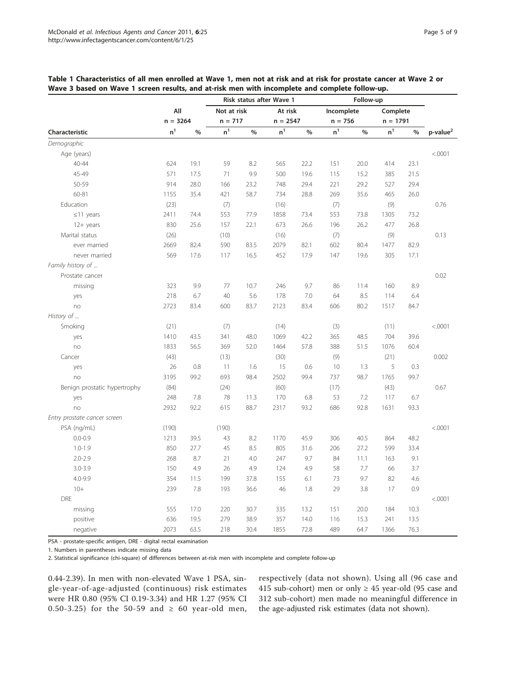|                              |                |      | Risk status after Wave 1 |               |                |               | Follow-up      |               |                |      |                 |
|------------------------------|----------------|------|--------------------------|---------------|----------------|---------------|----------------|---------------|----------------|------|-----------------|
|                              | All            |      | Not at risk              |               | At risk        |               | Incomplete     |               | Complete       |      |                 |
|                              | $n = 3264$     |      | $n = 717$                |               | $n = 2547$     |               | $n = 756$      |               | $n = 1791$     |      |                 |
| Characteristic               | n <sup>1</sup> | $\%$ | n <sup>1</sup>           | $\frac{0}{0}$ | $\mathsf{n}^1$ | $\frac{0}{0}$ | n <sup>1</sup> | $\frac{0}{0}$ | n <sup>1</sup> | $\%$ | $p$ -value $^2$ |
| Demographic                  |                |      |                          |               |                |               |                |               |                |      |                 |
| Age (years)                  |                |      |                          |               |                |               |                |               |                |      | < .0001         |
| $40 - 44$                    | 624            | 19.1 | 59                       | 8.2           | 565            | 22.2          | 151            | 20.0          | 414            | 23.1 |                 |
| 45-49                        | 571            | 17.5 | 71                       | 9.9           | 500            | 19.6          | 115            | 15.2          | 385            | 21.5 |                 |
| 50-59                        | 914            | 28.0 | 166                      | 23.2          | 748            | 29.4          | 221            | 29.2          | 527            | 29.4 |                 |
| 60-81                        | 1155           | 35.4 | 421                      | 58.7          | 734            | 28.8          | 269            | 35.6          | 465            | 26.0 |                 |
| Education                    | (23)           |      | (7)                      |               | (16)           |               | (7)            |               | (9)            |      | 0.76            |
| $\leq$ 11 years              | 2411           | 74.4 | 553                      | 77.9          | 1858           | 73.4          | 553            | 73.8          | 1305           | 73.2 |                 |
| $12+$ years                  | 830            | 25.6 | 157                      | 22.1          | 673            | 26.6          | 196            | 26.2          | 477            | 26.8 |                 |
| Marital status               | (26)           |      | (10)                     |               | (16)           |               | (7)            |               | (9)            |      | 0.13            |
| ever married                 | 2669           | 82.4 | 590                      | 83.5          | 2079           | 82.1          | 602            | 80.4          | 1477           | 82.9 |                 |
| never married                | 569            | 17.6 | 117                      | 16.5          | 452            | 17.9          | 147            | 19.6          | 305            | 17.1 |                 |
| Family history of            |                |      |                          |               |                |               |                |               |                |      |                 |
| Prostate cancer              |                |      |                          |               |                |               |                |               |                |      | 0.02            |
| missing                      | 323            | 9.9  | 77                       | 10.7          | 246            | 9.7           | 86             | 11.4          | 160            | 8.9  |                 |
| yes                          | 218            | 6.7  | 40                       | 5.6           | 178            | 7.0           | 64             | 8.5           | 114            | 6.4  |                 |
| no                           | 2723           | 83.4 | 600                      | 83.7          | 2123           | 83.4          | 606            | 80.2          | 1517           | 84.7 |                 |
| History of                   |                |      |                          |               |                |               |                |               |                |      |                 |
| Smoking                      | (21)           |      | (7)                      |               | (14)           |               | (3)            |               | (11)           |      | < .0001         |
| yes                          | 1410           | 43.5 | 341                      | 48.0          | 1069           | 42.2          | 365            | 48.5          | 704            | 39.6 |                 |
| no                           | 1833           | 56.5 | 369                      | 52.0          | 1464           | 57.8          | 388            | 51.5          | 1076           | 60.4 |                 |
| Cancer                       | (43)           |      | (13)                     |               | (30)           |               | (9)            |               | (21)           |      | 0.002           |
| yes                          | 26             | 0.8  | 11                       | 1.6           | 15             | 0.6           | 10             | 1.3           | 5              | 0.3  |                 |
| no                           | 3195           | 99.2 | 693                      | 98.4          | 2502           | 99.4          | 737            | 98.7          | 1765           | 99.7 |                 |
| Benign prostatic hypertrophy | (84)           |      | (24)                     |               | (60)           |               | (17)           |               | (43)           |      | 0.67            |
| yes                          | 248            | 7.8  | 78                       | 11.3          | 170            | 6.8           | 53             | 7.2           | 117            | 6.7  |                 |
| no                           | 2932           | 92.2 | 615                      | 88.7          | 2317           | 93.2          | 686            | 92.8          | 1631           | 93.3 |                 |
| Entry prostate cancer screen |                |      |                          |               |                |               |                |               |                |      |                 |
| PSA (ng/mL)                  | (190)          |      | (190)                    |               |                |               |                |               |                |      | < .0001         |
| $0.0 - 0.9$                  | 1213           | 39.5 | 43                       | 8.2           | 1170           | 45.9          | 306            | 40.5          | 864            | 48.2 |                 |
| $1.0 - 1.9$                  | 850            | 27.7 | 45                       | 8.5           | 805            | 31.6          | 206            | 27.2          | 599            | 33.4 |                 |
| $2.0 - 2.9$                  | 268            | 8.7  | 21                       | 4.0           | 247            | 9.7           | 84             | 11.1          | 163            | 9.1  |                 |
| $3.0 - 3.9$                  | 150            | 4.9  | 26                       | 4.9           | 124            | 4.9           | 58             | 7.7           | 66             | 3.7  |                 |
| $4.0 - 9.9$                  | 354            | 11.5 | 199                      | 37.8          | 155            | 6.1           | 73             | 9.7           | 82             | 4.6  |                 |
| $10+$                        | 239            | 7.8  | 193                      | 36.6          | 46             | 1.8           | 29             | 3.8           | 17             | 0.9  |                 |
| <b>DRE</b>                   |                |      |                          |               |                |               |                |               |                |      | < .0001         |
| missing                      | 555            | 17.0 | 220                      | 30.7          | 335            | 13.2          | 151            | 20.0          | 184            | 10.3 |                 |
| positive                     | 636            | 19.5 | 279                      | 38.9          | 357            | 14.0          | 116            | 15.3          | 241            | 13.5 |                 |
| negative                     | 2073           | 63.5 | 218                      | 30.4          | 1855           | 72.8          | 489            | 64.7          | 1366           | 76.3 |                 |

<span id="page-4-0"></span>

| Table 1 Characteristics of all men enrolled at Wave 1, men not at risk and at risk for prostate cancer at Wave 2 or |  |  |  |  |
|---------------------------------------------------------------------------------------------------------------------|--|--|--|--|
| Wave 3 based on Wave 1 screen results, and at-risk men with incomplete and complete follow-up.                      |  |  |  |  |

PSA - prostate-specific antigen, DRE - digital rectal examination

1. Numbers in parentheses indicate missing data

2. Statistical significance (chi-square) of differences between at-risk men with incomplete and complete follow-up

0.44-2.39). In men with non-elevated Wave 1 PSA, single-year-of-age-adjusted (continuous) risk estimates were HR 0.80 (95% CI 0.19-3.34) and HR 1.27 (95% CI 0.50-3.25) for the 50-59 and  $\geq$  60 year-old men,

respectively (data not shown). Using all (96 case and 415 sub-cohort) men or only  $\geq$  45 year-old (95 case and 312 sub-cohort) men made no meaningful difference in the age-adjusted risk estimates (data not shown).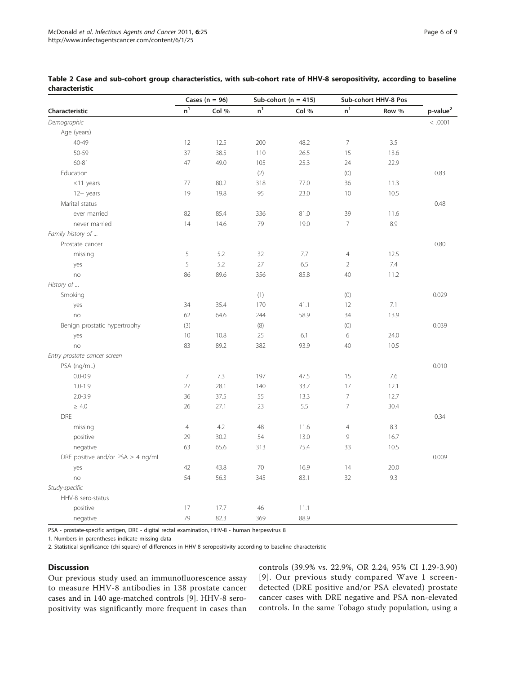|                                        | Cases ( $n = 96$ ) |       |                | Sub-cohort ( $n = 415$ ) | Sub-cohort HHV-8 Pos |       |                      |
|----------------------------------------|--------------------|-------|----------------|--------------------------|----------------------|-------|----------------------|
| Characteristic                         | n <sup>1</sup>     | Col % | n <sup>1</sup> | Col %                    | n <sup>1</sup>       | Row % | p-value <sup>2</sup> |
| Demographic                            |                    |       |                |                          |                      |       | < .0001              |
| Age (years)                            |                    |       |                |                          |                      |       |                      |
| 40-49                                  | 12                 | 12.5  | 200            | 48.2                     | $\overline{7}$       | 3.5   |                      |
| 50-59                                  | 37                 | 38.5  | 110            | 26.5                     | 15                   | 13.6  |                      |
| 60-81                                  | 47                 | 49.0  | 105            | 25.3                     | 24                   | 22.9  |                      |
| Education                              |                    |       | (2)            |                          | (0)                  |       | 0.83                 |
| $\leq$ 11 years                        | 77                 | 80.2  | 318            | 77.0                     | 36                   | 11.3  |                      |
| 12+ years                              | 19                 | 19.8  | 95             | 23.0                     | 10                   | 10.5  |                      |
| Marital status                         |                    |       |                |                          |                      |       | 0.48                 |
| ever married                           | 82                 | 85.4  | 336            | 81.0                     | 39                   | 11.6  |                      |
| never married                          | 14                 | 14.6  | 79             | 19.0                     | $\overline{7}$       | 8.9   |                      |
| Family history of                      |                    |       |                |                          |                      |       |                      |
| Prostate cancer                        |                    |       |                |                          |                      |       | 0.80                 |
| missing                                | 5                  | 5.2   | 32             | 7.7                      | $\overline{4}$       | 12.5  |                      |
| yes                                    | 5                  | 5.2   | 27             | 6.5                      | $\sqrt{2}$           | 7.4   |                      |
| no                                     | 86                 | 89.6  | 356            | 85.8                     | 40                   | 11.2  |                      |
| History of                             |                    |       |                |                          |                      |       |                      |
| Smoking                                |                    |       | (1)            |                          | (0)                  |       | 0.029                |
| yes                                    | 34                 | 35.4  | 170            | 41.1                     | 12                   | 7.1   |                      |
| no                                     | 62                 | 64.6  | 244            | 58.9                     | 34                   | 13.9  |                      |
| Benign prostatic hypertrophy           | (3)                |       | (8)            |                          | (0)                  |       | 0.039                |
| yes                                    | 10                 | 10.8  | 25             | 6.1                      | 6                    | 24.0  |                      |
| no                                     | 83                 | 89.2  | 382            | 93.9                     | 40                   | 10.5  |                      |
| Entry prostate cancer screen           |                    |       |                |                          |                      |       |                      |
| PSA (ng/mL)                            |                    |       |                |                          |                      |       | 0.010                |
| $0.0 - 0.9$                            | 7                  | 7.3   | 197            | 47.5                     | 15                   | 7.6   |                      |
| $1.0 - 1.9$                            | 27                 | 28.1  | 140            | 33.7                     | 17                   | 12.1  |                      |
| $2.0 - 3.9$                            | 36                 | 37.5  | 55             | 13.3                     | $\overline{7}$       | 12.7  |                      |
| $\geq 4.0$                             | 26                 | 27.1  | 23             | 5.5                      | $\overline{7}$       | 30.4  |                      |
| <b>DRE</b>                             |                    |       |                |                          |                      |       | 0.34                 |
| missing                                | $\overline{4}$     | 4.2   | 48             | 11.6                     | $\overline{4}$       | 8.3   |                      |
| positive                               | 29                 | 30.2  | 54             | 13.0                     | 9                    | 16.7  |                      |
| negative                               | 63                 | 65.6  | 313            | 75.4                     | 33                   | 10.5  |                      |
| DRE positive and/or PSA $\geq$ 4 ng/mL |                    |       |                |                          |                      |       | 0.009                |
| yes                                    | 42                 | 43.8  | 70             | 16.9                     | 14                   | 20.0  |                      |
| no                                     | 54                 | 56.3  | 345            | 83.1                     | 32                   | 9.3   |                      |
| Study-specific                         |                    |       |                |                          |                      |       |                      |
| HHV-8 sero-status                      |                    |       |                |                          |                      |       |                      |
| positive                               | 17                 | 17.7  | 46             | 11.1                     |                      |       |                      |
| negative                               | 79                 | 82.3  | 369            | 88.9                     |                      |       |                      |

<span id="page-5-0"></span>Table 2 Case and sub-cohort group characteristics, with sub-cohort rate of HHV-8 seropositivity, according to baseline characteristic

PSA - prostate-specific antigen, DRE - digital rectal examination, HHV-8 - human herpesvirus 8

1. Numbers in parentheses indicate missing data

2. Statistical significance (chi-square) of differences in HHV-8 seropositivity according to baseline characteristic

### **Discussion**

Our previous study used an immunofluorescence assay to measure HHV-8 antibodies in 138 prostate cancer cases and in 140 age-matched controls [\[9\]](#page-8-0). HHV-8 seropositivity was significantly more frequent in cases than

controls (39.9% vs. 22.9%, OR 2.24, 95% CI 1.29-3.90) [[9\]](#page-8-0). Our previous study compared Wave 1 screendetected (DRE positive and/or PSA elevated) prostate cancer cases with DRE negative and PSA non-elevated controls. In the same Tobago study population, using a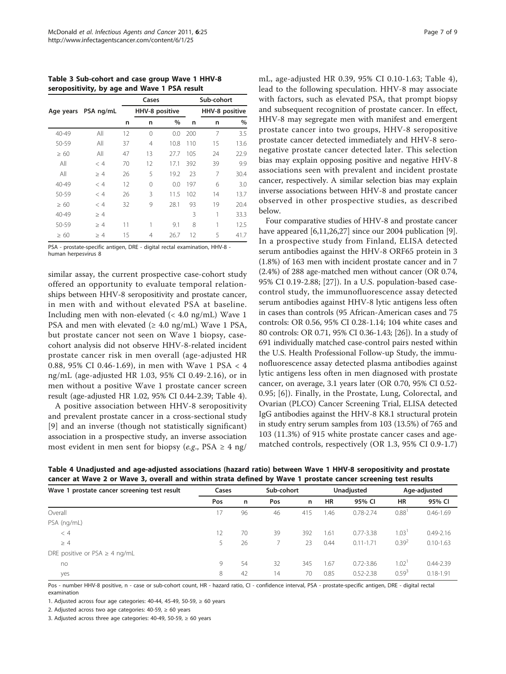<span id="page-6-0"></span>Table 3 Sub-cohort and case group Wave 1 HHV-8 seropositivity, by age and Wave 1 PSA result

|           |           |    | Cases          |      |     | Sub-cohort |                |  |
|-----------|-----------|----|----------------|------|-----|------------|----------------|--|
| Age years | PSA ng/mL |    | HHV-8 positive |      |     |            | HHV-8 positive |  |
|           |           | n  | n              | $\%$ | n   | n          | $\%$           |  |
| 40-49     | All       | 12 | $\Omega$       | 0.0  | 200 | 7          | 3.5            |  |
| 50-59     | All       | 37 | 4              | 10.8 | 110 | 15         | 13.6           |  |
| $\geq 60$ | All       | 47 | 13             | 27.7 | 105 | 24         | 22.9           |  |
| All       | < 4       | 70 | 12             | 17.1 | 392 | 39         | 9.9            |  |
| All       | $\geq 4$  | 26 | 5              | 19.2 | 23  | 7          | 30.4           |  |
| 40-49     | < 4       | 12 | $\Omega$       | 0.0  | 197 | 6          | 3.0            |  |
| 50-59     | < 4       | 26 | 3              | 11.5 | 102 | 14         | 13.7           |  |
| $\geq 60$ | < 4       | 32 | 9              | 28.1 | 93  | 19         | 20.4           |  |
| 40-49     | $\geq 4$  |    |                |      | 3   |            | 33.3           |  |
| 50-59     | $\geq 4$  | 11 | 1              | 9.1  | 8   | 1          | 12.5           |  |
| $\geq 60$ | >4        | 15 | 4              | 26.7 | 12  | 5          | 41.7           |  |

PSA - prostate-specific antigen, DRE - digital rectal examination, HHV-8 human herpesvirus 8

similar assay, the current prospective case-cohort study offered an opportunity to evaluate temporal relationships between HHV-8 seropositivity and prostate cancer, in men with and without elevated PSA at baseline. Including men with non-elevated (< 4.0 ng/mL) Wave 1 PSA and men with elevated  $(≥ 4.0$  ng/mL) Wave 1 PSA, but prostate cancer not seen on Wave 1 biopsy, casecohort analysis did not observe HHV-8-related incident prostate cancer risk in men overall (age-adjusted HR 0.88, 95% CI 0.46-1.69), in men with Wave 1 PSA < 4 ng/mL (age-adjusted HR 1.03, 95% CI 0.49-2.16), or in men without a positive Wave 1 prostate cancer screen result (age-adjusted HR 1.02, 95% CI 0.44-2.39; Table 4).

A positive association between HHV-8 seropositivity and prevalent prostate cancer in a cross-sectional study [[9](#page-8-0)] and an inverse (though not statistically significant) association in a prospective study, an inverse association most evident in men sent for biopsy (e.g., PSA  $\geq$  4 ng/ mL, age-adjusted HR 0.39, 95% CI 0.10-1.63; Table 4), lead to the following speculation. HHV-8 may associate with factors, such as elevated PSA, that prompt biopsy and subsequent recognition of prostate cancer. In effect, HHV-8 may segregate men with manifest and emergent prostate cancer into two groups, HHV-8 seropositive prostate cancer detected immediately and HHV-8 seronegative prostate cancer detected later. This selection bias may explain opposing positive and negative HHV-8 associations seen with prevalent and incident prostate cancer, respectively. A similar selection bias may explain inverse associations between HHV-8 and prostate cancer observed in other prospective studies, as described below.

Four comparative studies of HHV-8 and prostate cancer have appeared [[6,11,26,27](#page-8-0)] since our 2004 publication [\[9](#page-8-0)]. In a prospective study from Finland, ELISA detected serum antibodies against the HHV-8 ORF65 protein in 3 (1.8%) of 163 men with incident prostate cancer and in 7 (2.4%) of 288 age-matched men without cancer (OR 0.74, 95% CI 0.19-2.88; [\[27](#page-8-0)]). In a U.S. population-based casecontrol study, the immunofluorescence assay detected serum antibodies against HHV-8 lytic antigens less often in cases than controls (95 African-American cases and 75 controls: OR 0.56, 95% CI 0.28-1.14; 104 white cases and 80 controls: OR 0.71, 95% CI 0.36-1.43; [[26](#page-8-0)]). In a study of 691 individually matched case-control pairs nested within the U.S. Health Professional Follow-up Study, the immunofluorescence assay detected plasma antibodies against lytic antigens less often in men diagnosed with prostate cancer, on average, 3.1 years later (OR 0.70, 95% CI 0.52- 0.95; [[6\]](#page-8-0)). Finally, in the Prostate, Lung, Colorectal, and Ovarian (PLCO) Cancer Screening Trial, ELISA detected IgG antibodies against the HHV-8 K8.1 structural protein in study entry serum samples from 103 (13.5%) of 765 and 103 (11.3%) of 915 white prostate cancer cases and agematched controls, respectively (OR 1.3, 95% CI 0.9-1.7)

| Wave 1 prostate cancer screening test result | Cases |    | Sub-cohort |     | Unadjusted |               | Age-adjusted      |               |
|----------------------------------------------|-------|----|------------|-----|------------|---------------|-------------------|---------------|
|                                              | Pos   | n  | Pos        | n   | <b>HR</b>  | 95% CI        | <b>HR</b>         | 95% CI        |
| Overall                                      | 17    | 96 | 46         | 415 | .46        | $0.78 - 2.74$ | 0.88              | $0.46 - 1.69$ |
| PSA (ng/mL)                                  |       |    |            |     |            |               |                   |               |
| < 4                                          | 12    | 70 | 39         | 392 | 1.61       | $0.77 - 3.38$ | 1.03 <sup>1</sup> | $0.49 - 2.16$ |
| $\geq 4$                                     | 5     | 26 |            | 23  | 0.44       | $0.11 - 1.71$ | 0.39 <sup>2</sup> | $0.10 - 1.63$ |
| DRE positive or PSA $\geq$ 4 ng/mL           |       |    |            |     |            |               |                   |               |
| no                                           | 9     | 54 | 32         | 345 | 1.67       | $0.72 - 3.86$ | $1.02^+$          | $0.44 - 2.39$ |
| yes                                          | 8     | 42 | 14         | 70  | 0.85       | $0.52 - 2.38$ | $0.59^{3}$        | $0.18 - 1.91$ |

Table 4 Unadjusted and age-adjusted associations (hazard ratio) between Wave 1 HHV-8 seropositivity and prostate cancer at Wave 2 or Wave 3, overall and within strata defined by Wave 1 prostate cancer screening test results

Pos - number HHV-8 positive, n - case or sub-cohort count, HR - hazard ratio, CI - confidence interval, PSA - prostate-specific antigen, DRE - digital rectal examination

1. Adjusted across four age categories: 40-44, 45-49, 50-59,  $\geq 60$  years

2. Adjusted across two age categories:  $40-59$ ,  $\geq 60$  years

3. Adjusted across three age categories: 40-49, 50-59, ≥ 60 years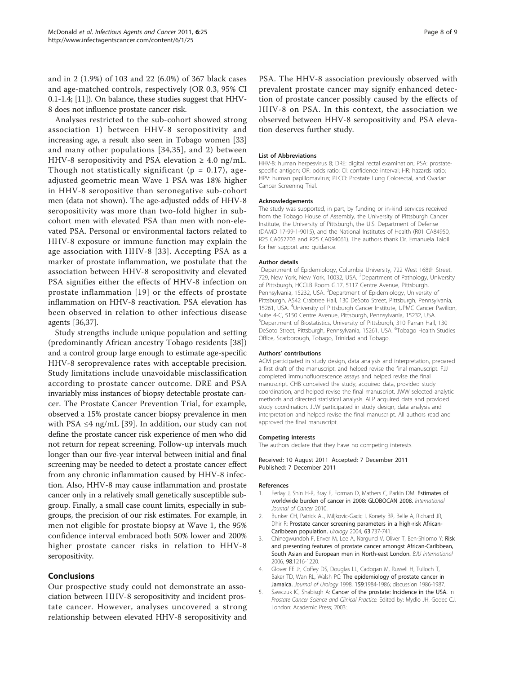<span id="page-7-0"></span>and in 2 (1.9%) of 103 and 22 (6.0%) of 367 black cases and age-matched controls, respectively (OR 0.3, 95% CI 0.1-1.4; [\[11\]](#page-8-0)). On balance, these studies suggest that HHV-8 does not influence prostate cancer risk.

Analyses restricted to the sub-cohort showed strong association 1) between HHV-8 seropositivity and increasing age, a result also seen in Tobago women [[33](#page-8-0)] and many other populations [[34](#page-8-0),[35](#page-8-0)], and 2) between HHV-8 seropositivity and PSA elevation  $\geq 4.0$  ng/mL. Though not statistically significant ( $p = 0.17$ ), ageadjusted geometric mean Wave 1 PSA was 18% higher in HHV-8 seropositive than seronegative sub-cohort men (data not shown). The age-adjusted odds of HHV-8 seropositivity was more than two-fold higher in subcohort men with elevated PSA than men with non-elevated PSA. Personal or environmental factors related to HHV-8 exposure or immune function may explain the age association with HHV-8 [[33](#page-8-0)]. Accepting PSA as a marker of prostate inflammation, we postulate that the association between HHV-8 seropositivity and elevated PSA signifies either the effects of HHV-8 infection on prostate inflammation [[19\]](#page-8-0) or the effects of prostate inflammation on HHV-8 reactivation. PSA elevation has been observed in relation to other infectious disease agents [[36,37](#page-8-0)].

Study strengths include unique population and setting (predominantly African ancestry Tobago residents [[38](#page-8-0)]) and a control group large enough to estimate age-specific HHV-8 seroprevalence rates with acceptable precision. Study limitations include unavoidable misclassification according to prostate cancer outcome. DRE and PSA invariably miss instances of biopsy detectable prostate cancer. The Prostate Cancer Prevention Trial, for example, observed a 15% prostate cancer biopsy prevalence in men with PSA  $\leq$ 4 ng/mL [\[39](#page-8-0)]. In addition, our study can not define the prostate cancer risk experience of men who did not return for repeat screening. Follow-up intervals much longer than our five-year interval between initial and final screening may be needed to detect a prostate cancer effect from any chronic inflammation caused by HHV-8 infection. Also, HHV-8 may cause inflammation and prostate cancer only in a relatively small genetically susceptible subgroup. Finally, a small case count limits, especially in subgroups, the precision of our risk estimates. For example, in men not eligible for prostate biopsy at Wave 1, the 95% confidence interval embraced both 50% lower and 200% higher prostate cancer risks in relation to HHV-8 seropositivity.

# Conclusions

Our prospective study could not demonstrate an association between HHV-8 seropositivity and incident prostate cancer. However, analyses uncovered a strong relationship between elevated HHV-8 seropositivity and

PSA. The HHV-8 association previously observed with prevalent prostate cancer may signify enhanced detection of prostate cancer possibly caused by the effects of HHV-8 on PSA. In this context, the association we observed between HHV-8 seropositivity and PSA elevation deserves further study.

#### List of Abbreviations

HHV-8: human herpesvirus 8; DRE: digital rectal examination; PSA: prostatespecific antigen; OR: odds ratio; CI: confidence interval; HR: hazards ratio; HPV: human papillomavirus; PLCO: Prostate Lung Colorectal, and Ovarian Cancer Screening Trial.

#### Acknowledgements

The study was supported, in part, by funding or in-kind services received from the Tobago House of Assembly, the University of Pittsburgh Cancer Institute, the University of Pittsburgh, the U.S. Department of Defense (DAMD 17-99-1-9015), and the National Institutes of Health (R01 CA84950, R25 CA057703 and R25 CA094061). The authors thank Dr. Emanuela Taioli for her support and quidance.

#### Author details

<sup>1</sup>Department of Epidemiology, Columbia University, 722 West 168th Street, 729, New York, New York, 10032, USA. <sup>2</sup>Department of Pathology, University of Pittsburgh, HCCLB Room G.17, 5117 Centre Avenue, Pittsburgh, Pennsylvania, 15232, USA. <sup>3</sup>Department of Epidemiology, University of Pittsburgh, A542 Crabtree Hall, 130 DeSoto Street, Pittsburgh, Pennsylvania, 15261, USA. <sup>4</sup>University of Pittsburgh Cancer Institute, UPMC Cancer Pavilion, Suite 4-C, 5150 Centre Avenue, Pittsburgh, Pennsylvania, 15232, USA. 5 Department of Biostatistics, University of Pittsburgh, 310 Parran Hall, 130 DeSoto Street, Pittsburgh, Pennsylvania, 15261, USA. <sup>6</sup>Tobago Health Studies Office, Scarborough, Tobago, Trinidad and Tobago.

#### Authors' contributions

ACM participated in study design, data analysis and interpretation, prepared a first draft of the manuscript, and helped revise the final manuscript. FJJ completed immunofluorescence assays and helped revise the final manuscript. CHB conceived the study, acquired data, provided study coordination, and helped revise the final manuscript. JWW selected analytic methods and directed statistical analysis. ALP acquired data and provided study coordination. JLW participated in study design, data analysis and interpretation and helped revise the final manuscript. All authors read and approved the final manuscript.

#### Competing interests

The authors declare that they have no competing interests.

Received: 10 August 2011 Accepted: 7 December 2011 Published: 7 December 2011

#### References

- Ferlay J, Shin H-R, Bray F, Forman D, Mathers C, Parkin DM: Estimates of worldwide burden of cancer in 2008: GLOBOCAN 2008. International Journal of Cancer 2010.
- 2. Bunker CH, Patrick AL, Miljkovic-Gacic I, Konety BR, Belle A, Richard JR, Dhir R: [Prostate cancer screening parameters in a high-risk African-](http://www.ncbi.nlm.nih.gov/pubmed/15072891?dopt=Abstract)[Caribbean population.](http://www.ncbi.nlm.nih.gov/pubmed/15072891?dopt=Abstract) Urology 2004, 63:737-741.
- 3. Chinegwundoh F, Enver M, Lee A, Nargund V, Oliver T, Ben-Shlomo Y: [Risk](http://www.ncbi.nlm.nih.gov/pubmed/17125479?dopt=Abstract) [and presenting features of prostate cancer amongst African-Caribbean,](http://www.ncbi.nlm.nih.gov/pubmed/17125479?dopt=Abstract) [South Asian and European men in North-east London.](http://www.ncbi.nlm.nih.gov/pubmed/17125479?dopt=Abstract) BJU International 2006, 98:1216-1220.
- 4. Glover FE Jr, Coffey DS, Douglas LL, Cadogan M, Russell H, Tulloch T, Baker TD, Wan RL, Walsh PC: [The epidemiology of prostate cancer in](http://www.ncbi.nlm.nih.gov/pubmed/9598503?dopt=Abstract) [Jamaica.](http://www.ncbi.nlm.nih.gov/pubmed/9598503?dopt=Abstract) Journal of Urology 1998, 159:1984-1986; discussion 1986-1987.
- 5. Sawczuk IC, Shabisgh A: Cancer of the prostate: Incidence in the USA. In Prostate Cancer Science and Clinical Practice. Edited by: Mydlo JH, Godec CJ. London: Academic Press; 2003:.